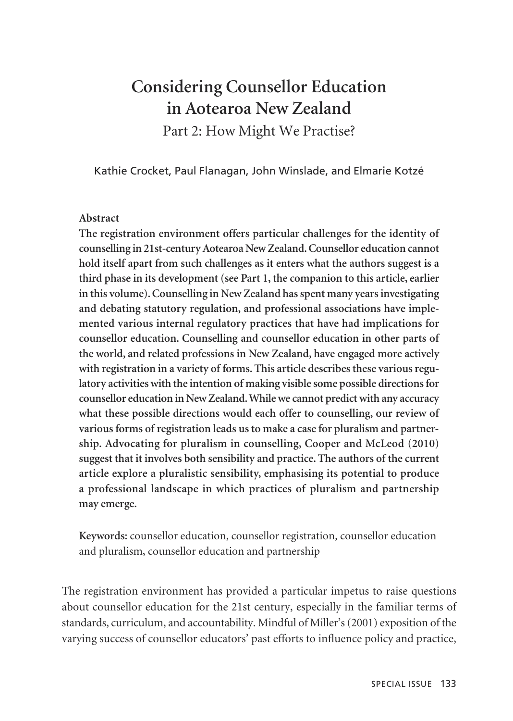# **Considering Counsellor Education in Aotearoa New Zealand**

Part 2: How Might We Practise?

Kathie Crocket, Paul Flanagan, John Winslade, and Elmarie Kotzé

#### **Abstract**

**The registration environment offers particular challenges for the identity of counselling in 21st-century Aotearoa New Zealand. Counsellor education cannot hold itself apart from such challenges as it enters what the authors suggest is a third phase in its development (see Part 1, the companion to this article, earlier in this volume). Counselling in New Zealand has spent many years investigating and debating statutory regulation, and professional associations have implemented various internal regulatory practices that have had implications for counsellor education. Counselling and counsellor education in other parts of the world, and related professions in New Zealand, have engaged more actively with registration in a variety of forms. This article describes these various regulatory activities with the intention of making visible some possible directions for counsellor education in New Zealand. While we cannot predict with any accuracy what these possible directions would each offer to counselling, our review of various forms of registration leads us to make a case for pluralism and partnership. Advocating for pluralism in counselling, Cooper and McLeod (2010) suggest that it involves both sensibility and practice. The authors of the current article explore a pluralistic sensibility, emphasising its potential to produce a professional landscape in which practices of pluralism and partnership may emerge.** 

**Keywords:** counsellor education, counsellor registration, counsellor education and pluralism, counsellor education and partnership

The registration environment has provided a particular impetus to raise questions about counsellor education for the 21st century, especially in the familiar terms of standards, curriculum, and accountability. Mindful of Miller's (2001) exposition of the varying success of counsellor educators' past efforts to influence policy and practice,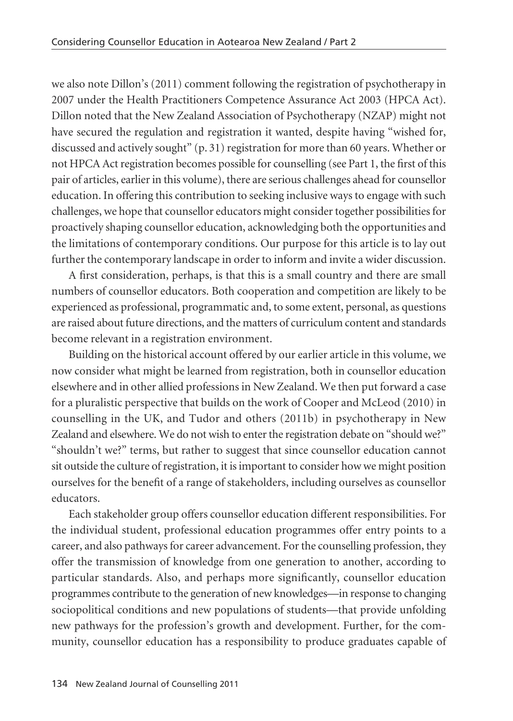we also note Dillon's (2011) comment following the registration of psychotherapy in 2007 under the Health Practitioners Competence Assurance Act 2003 (HPCA Act). Dillon noted that the New Zealand Association of Psychotherapy (NZAP) might not have secured the regulation and registration it wanted, despite having "wished for, discussed and actively sought" (p. 31) registration for more than 60 years. Whether or not HPCA Act registration becomes possible for counselling (see Part 1, the first of this pair of articles, earlier in this volume), there are serious challenges ahead for counsellor education. In offering this contribution to seeking inclusive ways to engage with such challenges, we hope that counsellor educators might consider together possibilities for proactively shaping counsellor education, acknowledging both the opportunities and the limitations of contemporary conditions. Our purpose for this article is to lay out further the contemporary landscape in order to inform and invite a wider discussion.

A first consideration, perhaps, is that this is a small country and there are small numbers of counsellor educators. Both cooperation and competition are likely to be experienced as professional, programmatic and, to some extent, personal, as questions are raised about future directions, and the matters of curriculum content and standards become relevant in a registration environment.

Building on the historical account offered by our earlier article in this volume, we now consider what might be learned from registration, both in counsellor education elsewhere and in other allied professions in New Zealand. We then put forward a case for a pluralistic perspective that builds on the work of Cooper and McLeod (2010) in counselling in the UK, and Tudor and others (2011b) in psychotherapy in New Zealand and elsewhere. We do not wish to enter the registration debate on "should we?" "shouldn't we?" terms, but rather to suggest that since counsellor education cannot sit outside the culture of registration, it is important to consider how we might position ourselves for the benefit of a range of stakeholders, including ourselves as counsellor educators.

Each stakeholder group offers counsellor education different responsibilities. For the individual student, professional education programmes offer entry points to a career, and also pathways for career advancement. For the counselling profession, they offer the transmission of knowledge from one generation to another, according to particular standards. Also, and perhaps more significantly, counsellor education programmes contribute to the generation of new knowledges—in response to changing sociopolitical conditions and new populations of students—that provide unfolding new pathways for the profession's growth and development. Further, for the com munity, counsellor education has a responsibility to produce graduates capable of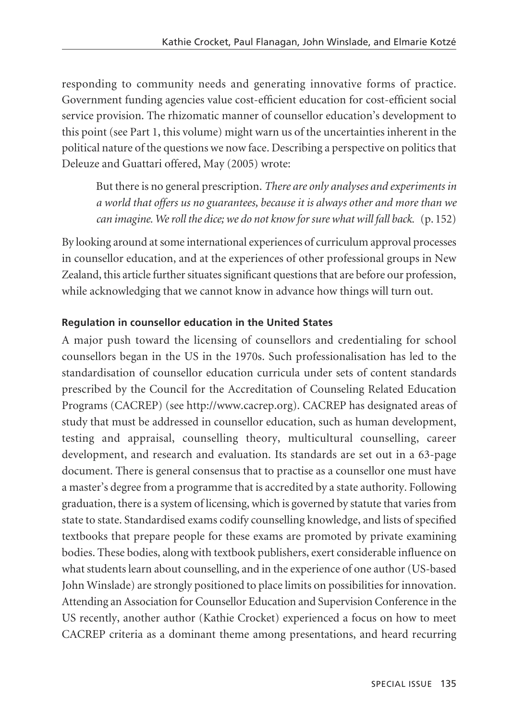responding to community needs and generating innovative forms of practice. Government funding agencies value cost-efficient education for cost-efficient social service provision. The rhizomatic manner of counsellor education's development to this point (see Part 1, this volume) might warn us of the uncertainties inherent in the political nature of the questions we now face. Describing a perspective on politics that Deleuze and Guattari offered, May (2005) wrote:

But there is no general prescription. *There are only analyses and experiments in a world that offers us no guarantees, because it is always other and more than we can imagine. We roll the dice; we do not know for sure what will fall back.* (p. 152)

By looking around at some international experiences of curriculum approval processes in counsellor education, and at the experiences of other professional groups in New Zealand, this article further situates significant questions that are before our profession, while acknowledging that we cannot know in advance how things will turn out.

## **Regulation in counsellor education in the United States**

A major push toward the licensing of counsellors and credentialing for school counsellors began in the US in the 1970s. Such professionalisation has led to the standardisation of counsellor education curricula under sets of content standards prescribed by the Council for the Accreditation of Counseling Related Education Programs (CACREP) (see http://www.cacrep.org). CACREP has designated areas of study that must be addressed in counsellor education, such as human development, testing and appraisal, counselling theory, multicultural counselling, career development, and research and evaluation. Its standards are set out in a 63-page document. There is general consensus that to practise as a counsellor one must have a master's degree from a programme that is accredited by a state authority. Following graduation, there is a system of licensing, which is governed by statute that varies from state to state. Standardised exams codify counselling knowledge, and lists of specified textbooks that prepare people for these exams are promoted by private examining bodies. These bodies, along with textbook publishers, exert considerable influence on what students learn about counselling, and in the experience of one author (US-based John Winslade) are strongly positioned to place limits on possibilities for innovation. Attending an Association for Counsellor Education and Supervision Conference in the US recently, another author (Kathie Crocket) experienced a focus on how to meet CACREP criteria as a dominant theme among presentations, and heard recurring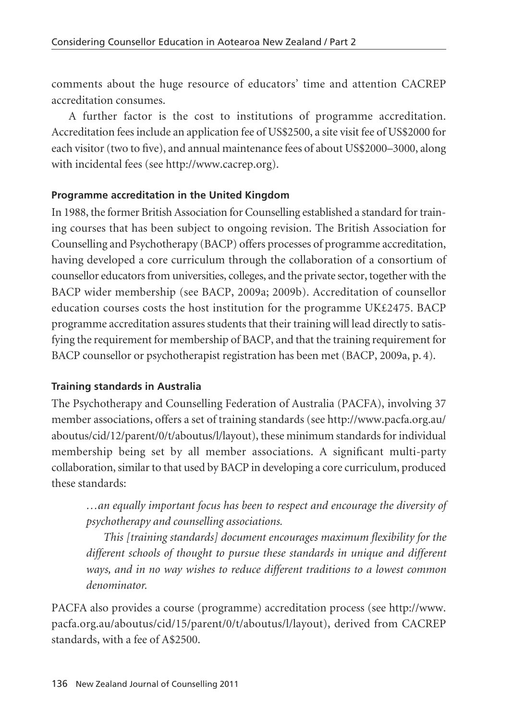comments about the huge resource of educators' time and attention CACREP accreditation consumes.

A further factor is the cost to institutions of programme accreditation. Accreditation fees include an application fee of US\$2500, a site visit fee of US\$2000 for each visitor (two to five), and annual maintenance fees of about US\$2000–3000, along with incidental fees (see http://www.cacrep.org).

### **Programme accreditation in the United Kingdom**

In 1988, the former British Association for Counselling established a standard for training courses that has been subject to ongoing revision. The British Association for Counselling and Psychotherapy (BACP) offers processes of programme accreditation, having developed a core curriculum through the collaboration of a consortium of counsellor educators from universities, colleges, and the private sector, together with the BACP wider membership (see BACP, 2009a; 2009b). Accreditation of counsellor education courses costs the host institution for the programme UK£2475. BACP programme accreditation assures students that their training will lead directly to satisfying the requirement for membership of BACP, and that the training requirement for BACP counsellor or psychotherapist registration has been met (BACP, 2009a, p. 4).

## **Training standards in Australia**

The Psychotherapy and Counselling Federation of Australia (PACFA), involving 37 member associations, offers a set of training standards (see http://www.pacfa.org.au/ aboutus/ cid/12/ parent/0/t/aboutus/l/layout), these minimum standards for individual membership being set by all member associations. A significant multi-party collaboration, similar to that used by BACP in developing a core curriculum, produced these standards:

*…an equally important focus has been to respect and encourage the diversity of psychotherapy and counselling associations.*

*This [training standards] document encourages maximum flexibility for the different schools of thought to pursue these standards in unique and different ways, and in no way wishes to reduce different traditions to a lowest common denominator.* 

PACFA also provides a course (programme) accreditation process (see http://www. pacfa. org.au/aboutus/cid/15/parent/0/t/aboutus/l/layout), derived from CACREP standards, with a fee of A\$2500.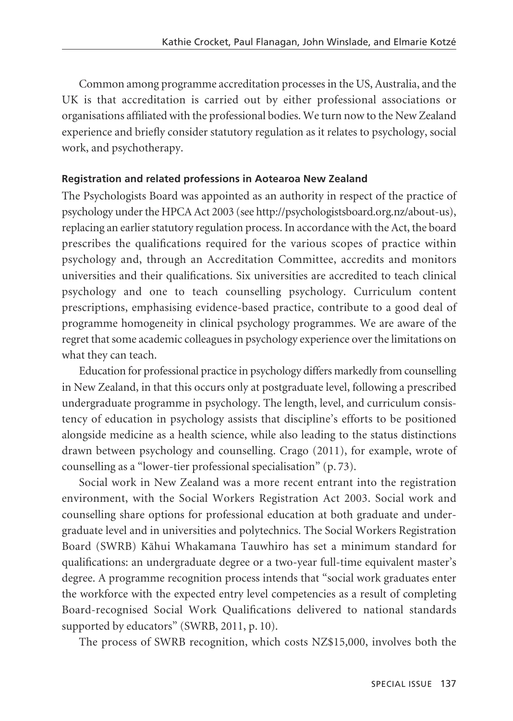Common among programme accreditation processes in the US, Australia, and the UK is that accreditation is carried out by either professional associations or organisations affiliated with the professional bodies. We turn now to the New Zealand experience and briefly consider statutory regulation as it relates to psychology, social work, and psychotherapy.

#### **Registration and related professions in Aotearoa New Zealand**

The Psychologists Board was appointed as an authority in respect of the practice of psychology under the HPCA Act 2003 (see http://psychologistsboard.org.nz/about-us), replacing an earlier statutory regulation process. In accordance with the Act, the board prescribes the qualifications required for the various scopes of practice within psychology and, through an Accreditation Committee, accredits and monitors universities and their qualifications. Six universities are accredited to teach clinical psychology and one to teach counselling psychology. Curriculum content prescriptions, emphasising evidence-based practice, contribute to a good deal of programme homogeneity in clinical psychology programmes. We are aware of the regret that some academic colleagues in psychology experience over the limitations on what they can teach.

Education for professional practice in psychology differs markedly from counselling in New Zealand, in that this occurs only at postgraduate level, following a prescribed undergraduate programme in psychology. The length, level, and curriculum consis tency of education in psychology assists that discipline's efforts to be positioned alongside medicine as a health science, while also leading to the status distinctions drawn between psychology and counselling. Crago (2011), for example, wrote of counselling as a "lower-tier professional specialisation" (p. 73).

Social work in New Zealand was a more recent entrant into the registration environment, with the Social Workers Registration Act 2003. Social work and counselling share options for professional education at both graduate and under graduate level and in universities and polytechnics. The Social Workers Registration Board (SWRB) Kähui Whakamana Tauwhiro has set a minimum standard for qualifications: an undergraduate degree or a two-year full-time equivalent master's degree. A programme recognition process intends that "social work graduates enter the workforce with the expected entry level competencies as a result of completing Board-recognised Social Work Qualifications delivered to national standards supported by educators" (SWRB, 2011, p. 10).

The process of SWRB recognition, which costs NZ\$15,000, involves both the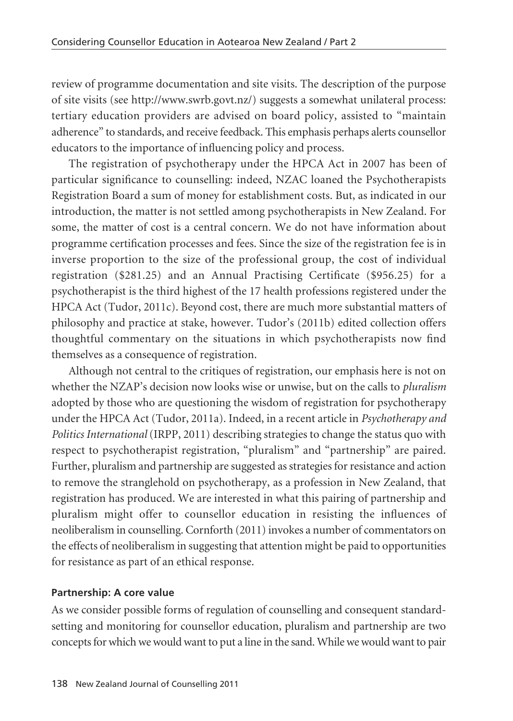review of programme documentation and site visits. The description of the purpose of site visits (see http://www.swrb.govt.nz/) suggests a somewhat unilateral process: tertiary education providers are advised on board policy, assisted to "maintain adherence" to standards, and receive feedback. This emphasis perhaps alerts counsellor educators to the importance of influencing policy and process.

The registration of psychotherapy under the HPCA Act in 2007 has been of particular significance to counselling: indeed, NZAC loaned the Psychotherapists Registration Board a sum of money for establishment costs. But, as indicated in our introduction, the matter is not settled among psychotherapists in New Zealand. For some, the matter of cost is a central concern. We do not have information about programme certification processes and fees. Since the size of the registration fee is in inverse proportion to the size of the professional group, the cost of individual registration (\$281.25) and an Annual Practising Certificate (\$956.25) for a psychotherapist is the third highest of the 17 health professions registered under the HPCA Act (Tudor, 2011c). Beyond cost, there are much more substantial matters of philosophy and practice at stake, however. Tudor's (2011b) edited collection offers thoughtful commentary on the situations in which psychotherapists now find themselves as a consequence of registration.

Although not central to the critiques of registration, our emphasis here is not on whether the NZAP's decision now looks wise or unwise, but on the calls to *pluralism* adopted by those who are questioning the wisdom of registration for psychotherapy under the HPCA Act (Tudor, 2011a). Indeed, in a recent article in *Psychotherapy and Politics International* (IRPP, 2011) describing strategies to change the status quo with respect to psychotherapist registration, "pluralism" and "partnership" are paired. Further, pluralism and partnership are suggested as strategies for resistance and action to remove the stranglehold on psychotherapy, as a profession in New Zealand, that registration has produced. We are interested in what this pairing of partnership and pluralism might offer to counsellor education in resisting the influences of neoliberalism in counselling. Cornforth (2011) invokes a number of commentators on the effects of neoliberalism in suggesting that attention might be paid to opportunities for resistance as part of an ethical response.

#### **Partnership: A core value**

As we consider possible forms of regulation of counselling and consequent standardsetting and monitoring for counsellor education, pluralism and partnership are two concepts for which we would want to put a line in the sand. While we would want to pair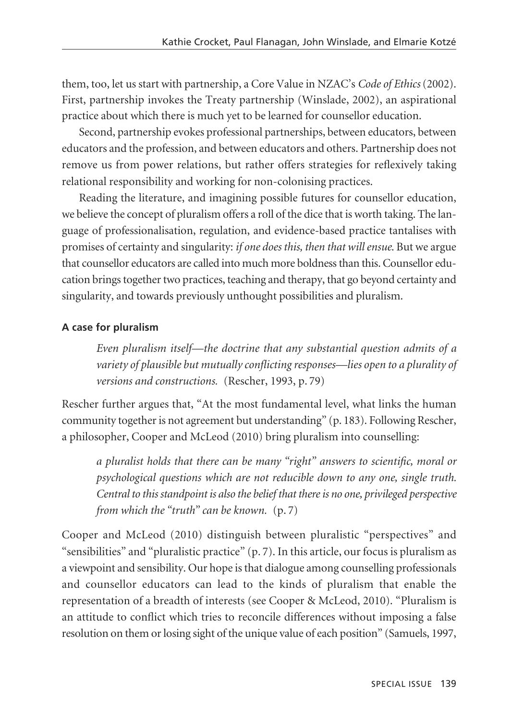them, too, let us start with partnership, a Core Value in NZAC's *Code of Ethics* (2002). First, partnership invokes the Treaty partnership (Winslade, 2002), an aspirational practice about which there is much yet to be learned for counsellor education.

Second, partnership evokes professional partnerships, between educators, between educators and the profession, and between educators and others. Partnership does not remove us from power relations, but rather offers strategies for reflexively taking relational responsibility and working for non-colonising practices.

Reading the literature, and imagining possible futures for counsellor education, we believe the concept of pluralism offers a roll of the dice that is worth taking. The language of professionalisation, regulation, and evidence-based practice tantalises with promises of certainty and singularity: *if one does this, then that will ensue*. But we argue that counsellor educators are called into much more boldness than this. Counsellor education brings together two practices, teaching and therapy, that go beyond certainty and singularity, and towards previously unthought possibilities and pluralism.

#### **A case for pluralism**

*Even pluralism itself—the doctrine that any substantial question admits of a variety of plausible but mutually conflicting responses—lies open to a plurality of versions and constructions.* (Rescher, 1993, p. 79)

Rescher further argues that, "At the most fundamental level, what links the human community together is not agreement but understanding" (p. 183). Following Rescher, a philosopher, Cooper and McLeod (2010) bring pluralism into counselling:

*a pluralist holds that there can be many "right" answers to scientific, moral or psychological questions which are not reducible down to any one, single truth. Central to this standpoint is also the belief that there is no one, privileged perspective from which the "truth" can be known.* (p. 7)

Cooper and McLeod (2010) distinguish between pluralistic "perspectives" and "sensibilities" and "pluralistic practice"  $(p, 7)$ . In this article, our focus is pluralism as a viewpoint and sensibility. Our hope is that dialogue among counselling professionals and counsellor educators can lead to the kinds of pluralism that enable the representation of a breadth of interests (see Cooper & McLeod, 2010). "Pluralism is an attitude to conflict which tries to reconcile differences without imposing a false resolution on them or losing sight of the unique value of each position" (Samuels, 1997,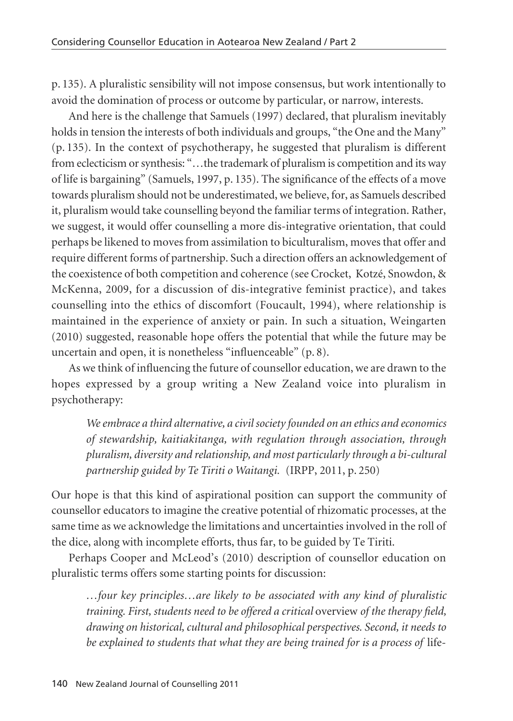p. 135). A pluralistic sensibility will not impose consensus, but work intentionally to avoid the domination of process or outcome by particular, or narrow, interests.

And here is the challenge that Samuels (1997) declared, that pluralism inevitably holds in tension the interests of both individuals and groups, "the One and the Many" (p. 135). In the context of psychotherapy, he suggested that pluralism is different from eclecticism or synthesis: "…the trademark of pluralism is competition and its way of life is bargaining" (Samuels, 1997, p. 135). The significance of the effects of a move towards pluralism should not be underestimated, we believe, for, as Samuels described it, pluralism would take counselling beyond the familiar terms of integration. Rather, we suggest, it would offer counselling a more dis-integrative orientation, that could perhaps be likened to moves from assimilation to biculturalism, moves that offer and require different forms of partnership. Such a direction offers an acknowledgement of the coexistence of both competition and coherence (see Crocket, Kotzé, Snowdon, & McKenna, 2009, for a discussion of dis-integrative feminist practice), and takes counselling into the ethics of discomfort (Foucault, 1994), where relationship is maintained in the experience of anxiety or pain. In such a situation, Weingarten (2010) suggested, reasonable hope offers the potential that while the future may be uncertain and open, it is nonetheless "influenceable" (p. 8).

As we think of influencing the future of counsellor education, we are drawn to the hopes expressed by a group writing a New Zealand voice into pluralism in psychotherapy:

*We embrace a third alternative, a civil society founded on an ethics and economics of stewardship, kaitiakitanga, with regulation through association, through pluralism, diversity and relationship, and most particularly through a bi-cultural partnership guided by Te Tiriti o Waitangi.* (IRPP, 2011, p. 250)

Our hope is that this kind of aspirational position can support the community of counsellor educators to imagine the creative potential of rhizomatic processes, at the same time as we acknowledge the limitations and uncertainties involved in the roll of the dice, along with incomplete efforts, thus far, to be guided by Te Tiriti.

Perhaps Cooper and McLeod's (2010) description of counsellor education on pluralistic terms offers some starting points for discussion:

*…four key principles…are likely to be associated with any kind of pluralistic training. First, students need to be offered a critical* overview *of the therapy field, drawing on historical, cultural and philosophical perspectives. Second, it needs to be explained to students that what they are being trained for is a process of* life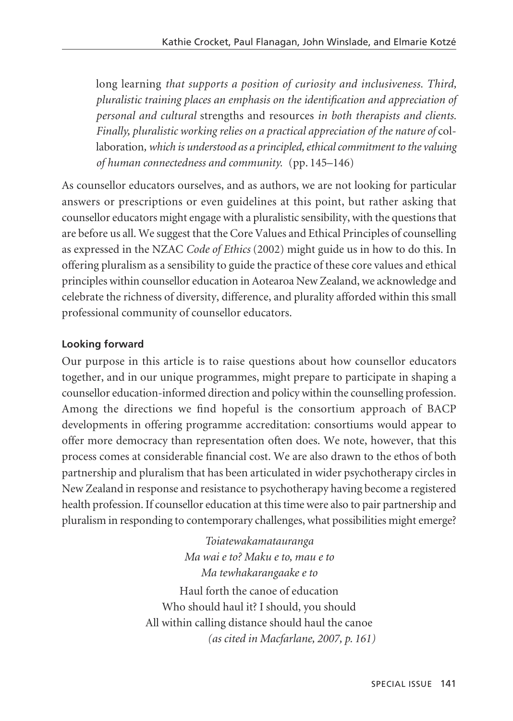long learning *that supports a position of curiosity and inclusiveness. Third, pluralistic training places an emphasis on the identification and appreciation of personal and cultural* strengths and resources *in both therapists and clients. Finally, pluralistic working relies on a practical appreciation of the nature of col*laboration*, which is understood as a principled, ethical commitment to the valuing of human connectedness and community.* (pp. 145–146)

As counsellor educators ourselves, and as authors, we are not looking for particular answers or prescriptions or even guidelines at this point, but rather asking that counsellor educators might engage with a pluralistic sensibility, with the questions that are before us all. We suggest that the Core Values and Ethical Principles of counselling as expressed in the NZAC *Code of Ethics* (2002) might guide us in how to do this. In offering pluralism as a sensibility to guide the practice of these core values and ethical principles within counsellor education in Aotearoa New Zealand, we acknowledge and celebrate the richness of diversity, difference, and plurality afforded within this small professional community of counsellor educators.

## **Looking forward**

Our purpose in this article is to raise questions about how counsellor educators together, and in our unique programmes, might prepare to participate in shaping a counsellor education-informed direction and policy within the counselling profession. Among the directions we find hopeful is the consortium approach of BACP developments in offering programme accreditation: consortiums would appear to offer more democracy than representation often does. We note, however, that this process comes at considerable financial cost. We are also drawn to the ethos of both partnership and pluralism that has been articulated in wider psychotherapy circles in New Zealand in response and resistance to psychotherapy having become a registered health profession. If counsellor education at this time were also to pair partnership and pluralism in responding to contemporary challenges, what possibilities might emerge?

> *Toiatewakamatauranga Ma wai e to? Maku e to, mau e to Ma tewhakarangaake e to*

Haul forth the canoe of education Who should haul it? I should, you should All within calling distance should haul the canoe *(as cited in Macfarlane, 2007, p. 161)*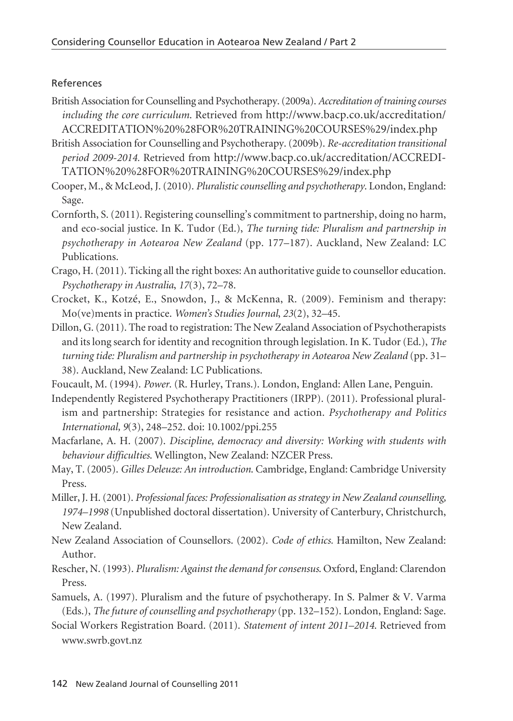### References

- British Association for Counselling and Psychotherapy. (2009a). *Accreditation of training courses including the core curriculum*. Retrieved from http://www.bacp.co.uk/accreditation/ ACCREDITATION%20%28FOR%20TRAINING%20COURSES%29/index.php
- British Association for Counselling and Psychotherapy. (2009b). *Re-accreditation transitional period 2009-2014.* Retrieved from http://www.bacp.co.uk/accreditation/ACCREDI-TATION%20%28FOR%20TRAINING%20COURSES%29/index.php
- Cooper, M., & McLeod, J. (2010). *Pluralistic counselling and psychotherapy*. London, England: Sage.
- Cornforth, S. (2011). Registering counselling's commitment to partnership, doing no harm, and eco-social justice. In K. Tudor (Ed.), *The turning tide: Pluralism and partnership in psychotherapy in Aotearoa New Zealand* (pp. 177–187). Auckland, New Zealand: LC Publications.
- Crago, H. (2011). Ticking all the right boxes: An authoritative guide to counsellor education. *Psychotherapy in Australia*, *17*(3), 72–78.
- Crocket, K., Kotzé, E., Snowdon, J., & McKenna, R. (2009). Feminism and therapy: Mo(ve)ments in practice. *Women's Studies Journal*, *23*(2), 32–45.
- Dillon, G. (2011). The road to registration: The New Zealand Association of Psychotherapists and its long search for identity and recognition through legislation. In K. Tudor (Ed.), *The turning tide: Pluralism and partnership in psychotherapy in Aotearoa New Zealand* (pp. 31– 38). Auckland, New Zealand: LC Publications.
- Foucault, M. (1994). *Power*. (R. Hurley, Trans.). London, England: Allen Lane, Penguin.
- Independently Registered Psychotherapy Practitioners (IRPP). (2011). Professional pluralism and partnership: Strategies for resistance and action. *Psychotherapy and Politics International, 9*(3), 248–252. doi: 10.1002/ppi.255
- Macfarlane, A. H. (2007). *Discipline, democracy and diversity: Working with students with behaviour difficulties*. Wellington, New Zealand: NZCER Press.
- May, T. (2005). *Gilles Deleuze: An introduction*. Cambridge, England: Cambridge University Press.
- Miller, J. H. (2001). *Professional faces: Professionalisation as strategy in New Zealand counselling, 1974–1998* (Unpublished doctoral dissertation). University of Canterbury, Christchurch, New Zealand.
- New Zealand Association of Counsellors. (2002). *Code of ethics.* Hamilton, New Zealand: Author.
- Rescher, N. (1993). *Pluralism: Against the demand for consensus*. Oxford, England: Clarendon Press.
- Samuels, A. (1997). Pluralism and the future of psychotherapy. In S. Palmer & V. Varma (Eds.), *The future of counselling and psychotherapy* (pp. 132–152). London, England: Sage.
- Social Workers Registration Board. (2011). *Statement of intent 2011–2014*. Retrieved from www.swrb.govt.nz